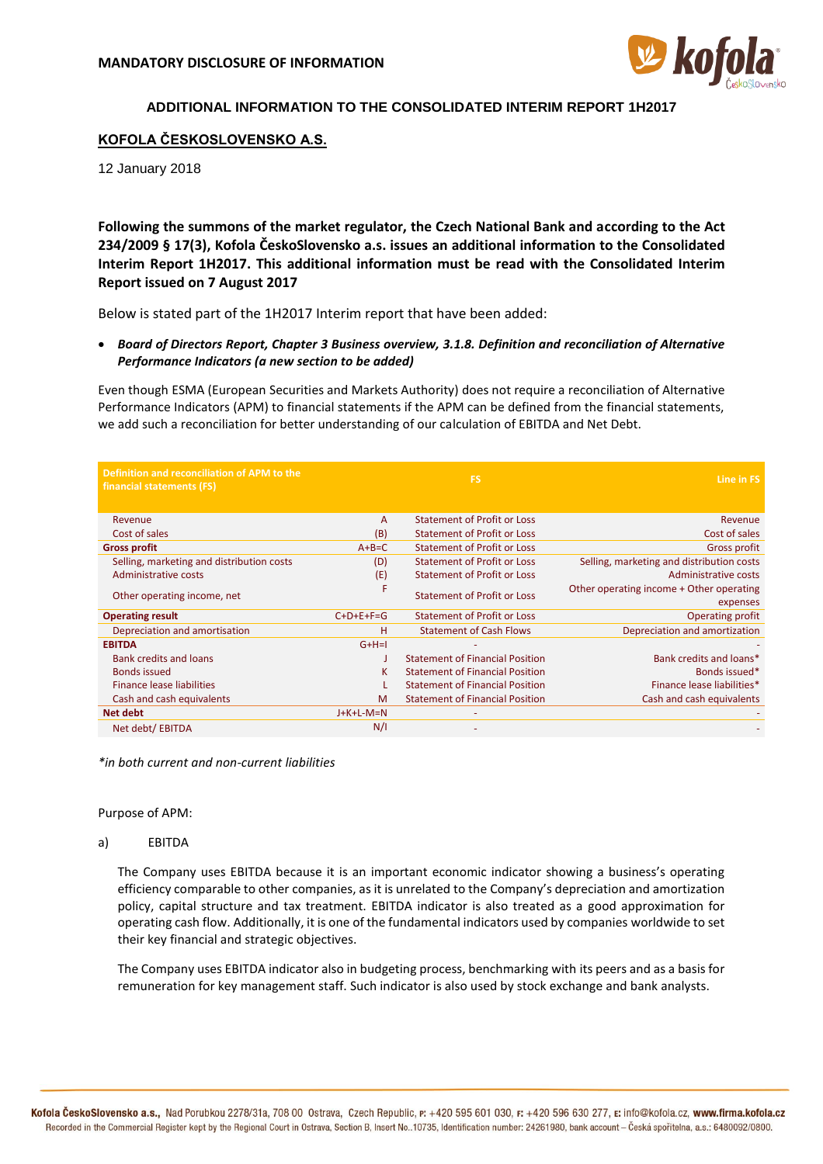

# **ADDITIONAL INFORMATION TO THE CONSOLIDATED INTERIM REPORT 1H2017**

## **KOFOLA ČESKOSLOVENSKO A.S.**

12 January 2018

**Following the summons of the market regulator, the Czech National Bank and according to the Act 234/2009 § 17(3), Kofola ČeskoSlovensko a.s. issues an additional information to the Consolidated Interim Report 1H2017. This additional information must be read with the Consolidated Interim Report issued on 7 August 2017**

Below is stated part of the 1H2017 Interim report that have been added:

• *Board of Directors Report, Chapter 3 Business overview, 3.1.8. Definition and reconciliation of Alternative Performance Indicators (a new section to be added)*

Even though ESMA (European Securities and Markets Authority) does not require a reconciliation of Alternative Performance Indicators (APM) to financial statements if the APM can be defined from the financial statements, we add such a reconciliation for better understanding of our calculation of EBITDA and Net Debt.

| Definition and reconciliation of APM to the<br>financial statements (FS) |              | <b>FS</b>                              | Line in FS                                           |
|--------------------------------------------------------------------------|--------------|----------------------------------------|------------------------------------------------------|
| Revenue                                                                  | $\mathsf{A}$ | <b>Statement of Profit or Loss</b>     | Revenue                                              |
| Cost of sales                                                            | (B)          | <b>Statement of Profit or Loss</b>     | Cost of sales                                        |
| <b>Gross profit</b>                                                      | $A+B=C$      | <b>Statement of Profit or Loss</b>     | Gross profit                                         |
| Selling, marketing and distribution costs                                | (D)          | <b>Statement of Profit or Loss</b>     | Selling, marketing and distribution costs            |
| Administrative costs                                                     | (E)          | <b>Statement of Profit or Loss</b>     | Administrative costs                                 |
| Other operating income, net                                              | F            | Statement of Profit or Loss            | Other operating income + Other operating<br>expenses |
| <b>Operating result</b>                                                  | $C+D+E+F=G$  | <b>Statement of Profit or Loss</b>     | <b>Operating profit</b>                              |
| Depreciation and amortisation                                            | н            | <b>Statement of Cash Flows</b>         | Depreciation and amortization                        |
| <b>EBITDA</b>                                                            | $G+H=I$      |                                        |                                                      |
| <b>Bank credits and loans</b>                                            |              | <b>Statement of Financial Position</b> | Bank credits and loans*                              |
| <b>Bonds issued</b>                                                      | к            | <b>Statement of Financial Position</b> | Bonds issued*                                        |
| Finance lease liabilities                                                |              | <b>Statement of Financial Position</b> | Finance lease liabilities*                           |
| Cash and cash equivalents                                                | M            | <b>Statement of Financial Position</b> | Cash and cash equivalents                            |
| <b>Net debt</b>                                                          | $J+K+L-M=N$  |                                        |                                                      |
| Net debt/ EBITDA                                                         | N/I          |                                        |                                                      |

*\*in both current and non-current liabilities*

Purpose of APM:

## a) EBITDA

The Company uses EBITDA because it is an important economic indicator showing a business's operating efficiency comparable to other companies, as it is unrelated to the Company's depreciation and amortization policy, capital structure and tax treatment. EBITDA indicator is also treated as a good approximation for operating cash flow. Additionally, it is one of the fundamental indicators used by companies worldwide to set their key financial and strategic objectives.

The Company uses EBITDA indicator also in budgeting process, benchmarking with its peers and as a basis for remuneration for key management staff. Such indicator is also used by stock exchange and bank analysts.